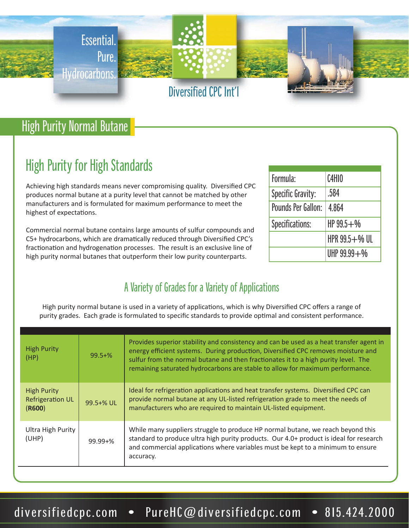

## High Purity Normal Butane

# High Purity for High Standards

Achieving high standards means never compromising quality. Diversified CPC produces normal butane at a purity level that cannot be matched by other manufacturers and is formulated for maximum performance to meet the highest of expectations.

Commercial normal butane contains large amounts of sulfur compounds and C5+ hydrocarbons, which are dramatically reduced through Diversified CPC's fractionation and hydrogenation processes. The result is an exclusive line of high purity normal butanes that outperform their low purity counterparts.

| Formula:           | <b>C4H10</b>      |  |
|--------------------|-------------------|--|
| Specific Gravity:  | .584              |  |
| Pounds Per Gallon: | 4.864             |  |
| Specifications:    | $HP99.5 + W$      |  |
|                    | HPR $99.5 + %$ UL |  |
|                    | UHP $99.99 +$ %   |  |

#### A Variety of Grades for a Variety of Applications

High purity normal butane is used in a variety of applications, which is why Diversified CPC offers a range of purity grades. Each grade is formulated to specific standards to provide optimal and consistent performance.

| <b>High Purity</b><br>(HP)                              | $99.5 + \%$  | Provides superior stability and consistency and can be used as a heat transfer agent in<br>energy efficient systems. During production, Diversified CPC removes moisture and<br>sulfur from the normal butane and then fractionates it to a high purity level. The<br>remaining saturated hydrocarbons are stable to allow for maximum performance. |
|---------------------------------------------------------|--------------|-----------------------------------------------------------------------------------------------------------------------------------------------------------------------------------------------------------------------------------------------------------------------------------------------------------------------------------------------------|
| <b>High Purity</b><br><b>Refrigeration UL</b><br>(R600) | 99.5+% UL    | Ideal for refrigeration applications and heat transfer systems. Diversified CPC can<br>provide normal butane at any UL-listed refrigeration grade to meet the needs of<br>manufacturers who are required to maintain UL-listed equipment.                                                                                                           |
| Ultra High Purity<br>(UHP)                              | $99.99 + \%$ | While many suppliers struggle to produce HP normal butane, we reach beyond this<br>standard to produce ultra high purity products. Our 4.0+ product is ideal for research<br>and commercial applications where variables must be kept to a minimum to ensure<br>accuracy.                                                                           |